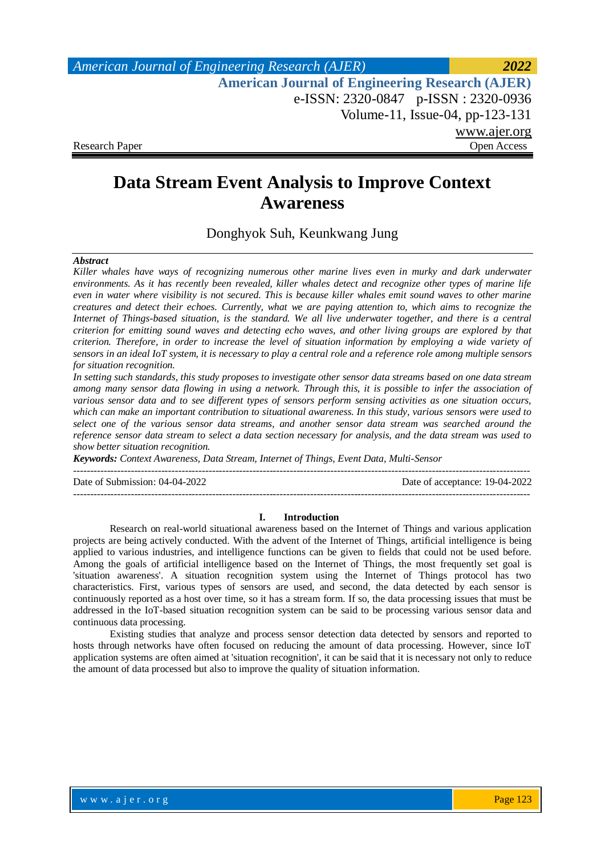# **Data Stream Event Analysis to Improve Context Awareness**

Donghyok Suh, Keunkwang Jung

### *Abstract*

*Killer whales have ways of recognizing numerous other marine lives even in murky and dark underwater environments. As it has recently been revealed, killer whales detect and recognize other types of marine life even in water where visibility is not secured. This is because killer whales emit sound waves to other marine creatures and detect their echoes. Currently, what we are paying attention to, which aims to recognize the Internet of Things-based situation, is the standard. We all live underwater together, and there is a central criterion for emitting sound waves and detecting echo waves, and other living groups are explored by that criterion. Therefore, in order to increase the level of situation information by employing a wide variety of sensors in an ideal IoT system, it is necessary to play a central role and a reference role among multiple sensors for situation recognition.*

*In setting such standards, this study proposes to investigate other sensor data streams based on one data stream among many sensor data flowing in using a network. Through this, it is possible to infer the association of various sensor data and to see different types of sensors perform sensing activities as one situation occurs, which can make an important contribution to situational awareness. In this study, various sensors were used to select one of the various sensor data streams, and another sensor data stream was searched around the reference sensor data stream to select a data section necessary for analysis, and the data stream was used to show better situation recognition.*

*Keywords: Context Awareness, Data Stream, Internet of Things, Event Data, Multi-Sensor* 

Date of Submission: 04-04-2022 Date of acceptance: 19-04-2022

#### **I. Introduction**

---------------------------------------------------------------------------------------------------------------------------------------

---------------------------------------------------------------------------------------------------------------------------------------

Research on real-world situational awareness based on the Internet of Things and various application projects are being actively conducted. With the advent of the Internet of Things, artificial intelligence is being applied to various industries, and intelligence functions can be given to fields that could not be used before. Among the goals of artificial intelligence based on the Internet of Things, the most frequently set goal is 'situation awareness'. A situation recognition system using the Internet of Things protocol has two characteristics. First, various types of sensors are used, and second, the data detected by each sensor is continuously reported as a host over time, so it has a stream form. If so, the data processing issues that must be addressed in the IoT-based situation recognition system can be said to be processing various sensor data and continuous data processing.

Existing studies that analyze and process sensor detection data detected by sensors and reported to hosts through networks have often focused on reducing the amount of data processing. However, since IoT application systems are often aimed at 'situation recognition', it can be said that it is necessary not only to reduce the amount of data processed but also to improve the quality of situation information.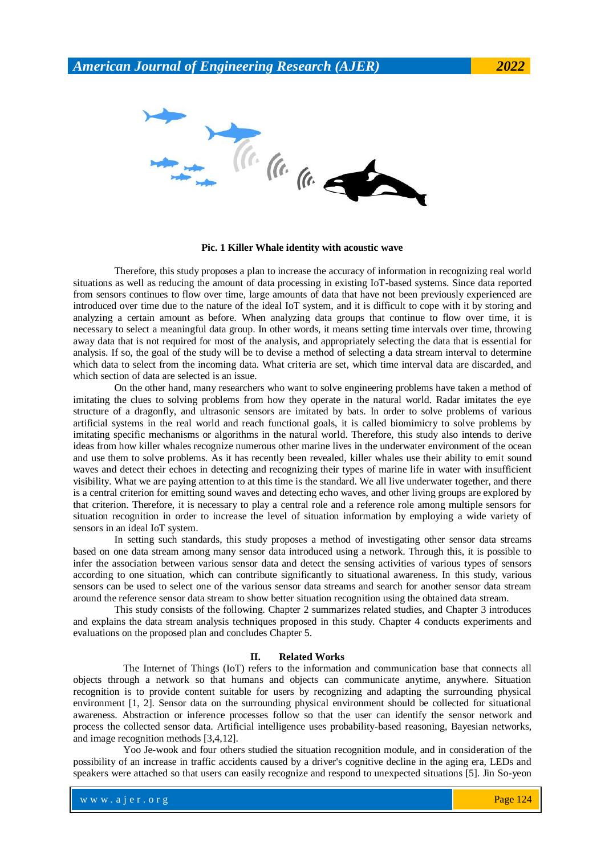**Pic. 1 Killer Whale identity with acoustic wave**

Therefore, this study proposes a plan to increase the accuracy of information in recognizing real world situations as well as reducing the amount of data processing in existing IoT-based systems. Since data reported from sensors continues to flow over time, large amounts of data that have not been previously experienced are introduced over time due to the nature of the ideal IoT system, and it is difficult to cope with it by storing and analyzing a certain amount as before. When analyzing data groups that continue to flow over time, it is necessary to select a meaningful data group. In other words, it means setting time intervals over time, throwing away data that is not required for most of the analysis, and appropriately selecting the data that is essential for analysis. If so, the goal of the study will be to devise a method of selecting a data stream interval to determine which data to select from the incoming data. What criteria are set, which time interval data are discarded, and which section of data are selected is an issue.

On the other hand, many researchers who want to solve engineering problems have taken a method of imitating the clues to solving problems from how they operate in the natural world. Radar imitates the eye structure of a dragonfly, and ultrasonic sensors are imitated by bats. In order to solve problems of various artificial systems in the real world and reach functional goals, it is called biomimicry to solve problems by imitating specific mechanisms or algorithms in the natural world. Therefore, this study also intends to derive ideas from how killer whales recognize numerous other marine lives in the underwater environment of the ocean and use them to solve problems. As it has recently been revealed, killer whales use their ability to emit sound waves and detect their echoes in detecting and recognizing their types of marine life in water with insufficient visibility. What we are paying attention to at this time is the standard. We all live underwater together, and there is a central criterion for emitting sound waves and detecting echo waves, and other living groups are explored by that criterion. Therefore, it is necessary to play a central role and a reference role among multiple sensors for situation recognition in order to increase the level of situation information by employing a wide variety of sensors in an ideal IoT system.

In setting such standards, this study proposes a method of investigating other sensor data streams based on one data stream among many sensor data introduced using a network. Through this, it is possible to infer the association between various sensor data and detect the sensing activities of various types of sensors according to one situation, which can contribute significantly to situational awareness. In this study, various sensors can be used to select one of the various sensor data streams and search for another sensor data stream around the reference sensor data stream to show better situation recognition using the obtained data stream.

This study consists of the following. Chapter 2 summarizes related studies, and Chapter 3 introduces and explains the data stream analysis techniques proposed in this study. Chapter 4 conducts experiments and evaluations on the proposed plan and concludes Chapter 5.

### **II. Related Works**

The Internet of Things (IoT) refers to the information and communication base that connects all objects through a network so that humans and objects can communicate anytime, anywhere. Situation recognition is to provide content suitable for users by recognizing and adapting the surrounding physical environment [1, 2]. Sensor data on the surrounding physical environment should be collected for situational awareness. Abstraction or inference processes follow so that the user can identify the sensor network and process the collected sensor data. Artificial intelligence uses probability-based reasoning, Bayesian networks, and image recognition methods [3,4,12].

Yoo Je-wook and four others studied the situation recognition module, and in consideration of the possibility of an increase in traffic accidents caused by a driver's cognitive decline in the aging era, LEDs and speakers were attached so that users can easily recognize and respond to unexpected situations [5]. Jin So-yeon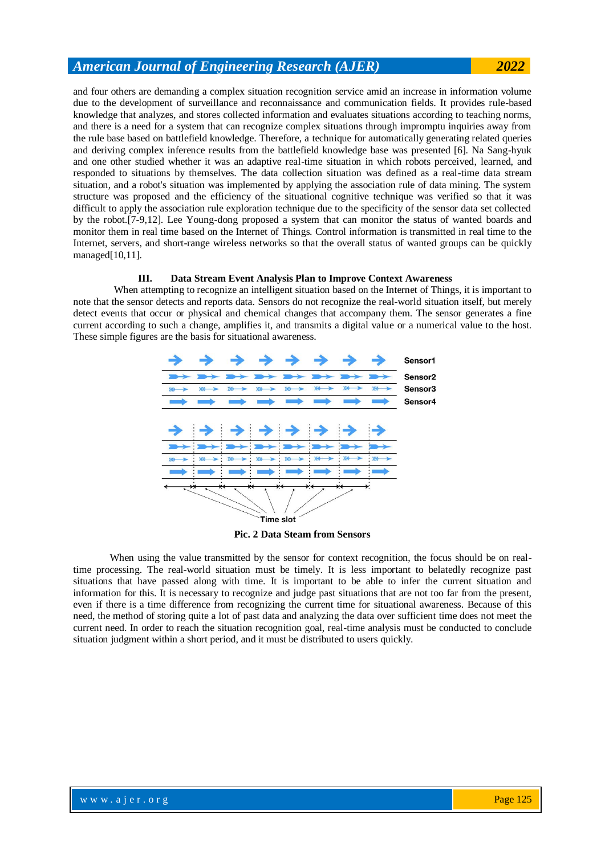and four others are demanding a complex situation recognition service amid an increase in information volume due to the development of surveillance and reconnaissance and communication fields. It provides rule-based knowledge that analyzes, and stores collected information and evaluates situations according to teaching norms, and there is a need for a system that can recognize complex situations through impromptu inquiries away from the rule base based on battlefield knowledge. Therefore, a technique for automatically generating related queries and deriving complex inference results from the battlefield knowledge base was presented [6]. Na Sang-hyuk and one other studied whether it was an adaptive real-time situation in which robots perceived, learned, and responded to situations by themselves. The data collection situation was defined as a real-time data stream situation, and a robot's situation was implemented by applying the association rule of data mining. The system structure was proposed and the efficiency of the situational cognitive technique was verified so that it was difficult to apply the association rule exploration technique due to the specificity of the sensor data set collected by the robot.[7-9,12]. Lee Young-dong proposed a system that can monitor the status of wanted boards and monitor them in real time based on the Internet of Things. Control information is transmitted in real time to the Internet, servers, and short-range wireless networks so that the overall status of wanted groups can be quickly managed[10,11].

### **III. Data Stream Event Analysis Plan to Improve Context Awareness**

When attempting to recognize an intelligent situation based on the Internet of Things, it is important to note that the sensor detects and reports data. Sensors do not recognize the real-world situation itself, but merely detect events that occur or physical and chemical changes that accompany them. The sensor generates a fine current according to such a change, amplifies it, and transmits a digital value or a numerical value to the host. These simple figures are the basis for situational awareness.



**Pic. 2 Data Steam from Sensors**

When using the value transmitted by the sensor for context recognition, the focus should be on realtime processing. The real-world situation must be timely. It is less important to belatedly recognize past situations that have passed along with time. It is important to be able to infer the current situation and information for this. It is necessary to recognize and judge past situations that are not too far from the present, even if there is a time difference from recognizing the current time for situational awareness. Because of this need, the method of storing quite a lot of past data and analyzing the data over sufficient time does not meet the current need. In order to reach the situation recognition goal, real-time analysis must be conducted to conclude situation judgment within a short period, and it must be distributed to users quickly.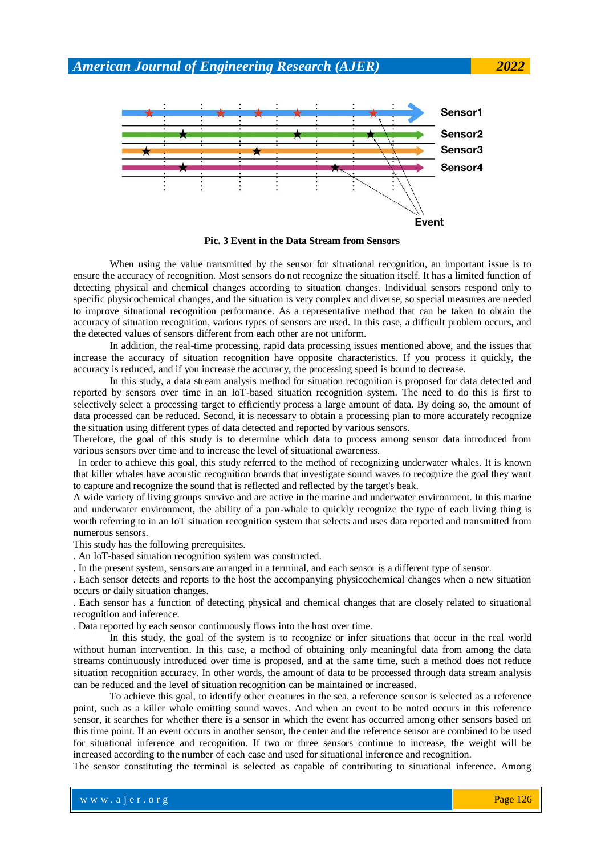

**Pic. 3 Event in the Data Stream from Sensors**

When using the value transmitted by the sensor for situational recognition, an important issue is to ensure the accuracy of recognition. Most sensors do not recognize the situation itself. It has a limited function of detecting physical and chemical changes according to situation changes. Individual sensors respond only to specific physicochemical changes, and the situation is very complex and diverse, so special measures are needed to improve situational recognition performance. As a representative method that can be taken to obtain the accuracy of situation recognition, various types of sensors are used. In this case, a difficult problem occurs, and the detected values of sensors different from each other are not uniform.

In addition, the real-time processing, rapid data processing issues mentioned above, and the issues that increase the accuracy of situation recognition have opposite characteristics. If you process it quickly, the accuracy is reduced, and if you increase the accuracy, the processing speed is bound to decrease.

In this study, a data stream analysis method for situation recognition is proposed for data detected and reported by sensors over time in an IoT-based situation recognition system. The need to do this is first to selectively select a processing target to efficiently process a large amount of data. By doing so, the amount of data processed can be reduced. Second, it is necessary to obtain a processing plan to more accurately recognize the situation using different types of data detected and reported by various sensors.

Therefore, the goal of this study is to determine which data to process among sensor data introduced from various sensors over time and to increase the level of situational awareness.

In order to achieve this goal, this study referred to the method of recognizing underwater whales. It is known that killer whales have acoustic recognition boards that investigate sound waves to recognize the goal they want to capture and recognize the sound that is reflected and reflected by the target's beak.

A wide variety of living groups survive and are active in the marine and underwater environment. In this marine and underwater environment, the ability of a pan-whale to quickly recognize the type of each living thing is worth referring to in an IoT situation recognition system that selects and uses data reported and transmitted from numerous sensors.

This study has the following prerequisites.

. An IoT-based situation recognition system was constructed.

. In the present system, sensors are arranged in a terminal, and each sensor is a different type of sensor.

. Each sensor detects and reports to the host the accompanying physicochemical changes when a new situation occurs or daily situation changes.

. Each sensor has a function of detecting physical and chemical changes that are closely related to situational recognition and inference.

. Data reported by each sensor continuously flows into the host over time.

In this study, the goal of the system is to recognize or infer situations that occur in the real world without human intervention. In this case, a method of obtaining only meaningful data from among the data streams continuously introduced over time is proposed, and at the same time, such a method does not reduce situation recognition accuracy. In other words, the amount of data to be processed through data stream analysis can be reduced and the level of situation recognition can be maintained or increased.

To achieve this goal, to identify other creatures in the sea, a reference sensor is selected as a reference point, such as a killer whale emitting sound waves. And when an event to be noted occurs in this reference sensor, it searches for whether there is a sensor in which the event has occurred among other sensors based on this time point. If an event occurs in another sensor, the center and the reference sensor are combined to be used for situational inference and recognition. If two or three sensors continue to increase, the weight will be increased according to the number of each case and used for situational inference and recognition.

The sensor constituting the terminal is selected as capable of contributing to situational inference. Among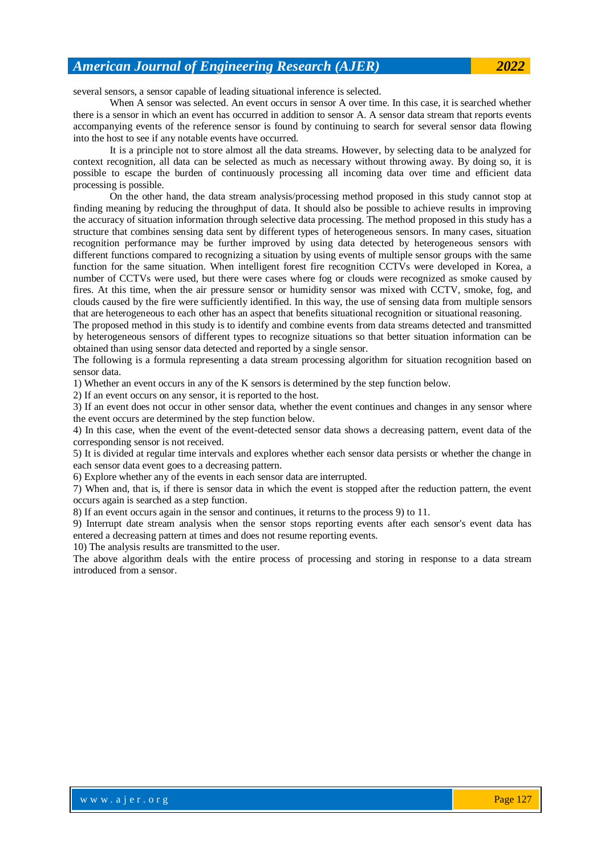several sensors, a sensor capable of leading situational inference is selected.

When A sensor was selected. An event occurs in sensor A over time. In this case, it is searched whether there is a sensor in which an event has occurred in addition to sensor A. A sensor data stream that reports events accompanying events of the reference sensor is found by continuing to search for several sensor data flowing into the host to see if any notable events have occurred.

It is a principle not to store almost all the data streams. However, by selecting data to be analyzed for context recognition, all data can be selected as much as necessary without throwing away. By doing so, it is possible to escape the burden of continuously processing all incoming data over time and efficient data processing is possible.

On the other hand, the data stream analysis/processing method proposed in this study cannot stop at finding meaning by reducing the throughput of data. It should also be possible to achieve results in improving the accuracy of situation information through selective data processing. The method proposed in this study has a structure that combines sensing data sent by different types of heterogeneous sensors. In many cases, situation recognition performance may be further improved by using data detected by heterogeneous sensors with different functions compared to recognizing a situation by using events of multiple sensor groups with the same function for the same situation. When intelligent forest fire recognition CCTVs were developed in Korea, a number of CCTVs were used, but there were cases where fog or clouds were recognized as smoke caused by fires. At this time, when the air pressure sensor or humidity sensor was mixed with CCTV, smoke, fog, and clouds caused by the fire were sufficiently identified. In this way, the use of sensing data from multiple sensors that are heterogeneous to each other has an aspect that benefits situational recognition or situational reasoning.

The proposed method in this study is to identify and combine events from data streams detected and transmitted by heterogeneous sensors of different types to recognize situations so that better situation information can be obtained than using sensor data detected and reported by a single sensor.

The following is a formula representing a data stream processing algorithm for situation recognition based on sensor data.

1) Whether an event occurs in any of the K sensors is determined by the step function below.

2) If an event occurs on any sensor, it is reported to the host.

3) If an event does not occur in other sensor data, whether the event continues and changes in any sensor where the event occurs are determined by the step function below.

4) In this case, when the event of the event-detected sensor data shows a decreasing pattern, event data of the corresponding sensor is not received.

5) It is divided at regular time intervals and explores whether each sensor data persists or whether the change in each sensor data event goes to a decreasing pattern.

6) Explore whether any of the events in each sensor data are interrupted.

7) When and, that is, if there is sensor data in which the event is stopped after the reduction pattern, the event occurs again is searched as a step function.

8) If an event occurs again in the sensor and continues, it returns to the process 9) to 11.

9) Interrupt date stream analysis when the sensor stops reporting events after each sensor's event data has entered a decreasing pattern at times and does not resume reporting events.

10) The analysis results are transmitted to the user.

The above algorithm deals with the entire process of processing and storing in response to a data stream introduced from a sensor.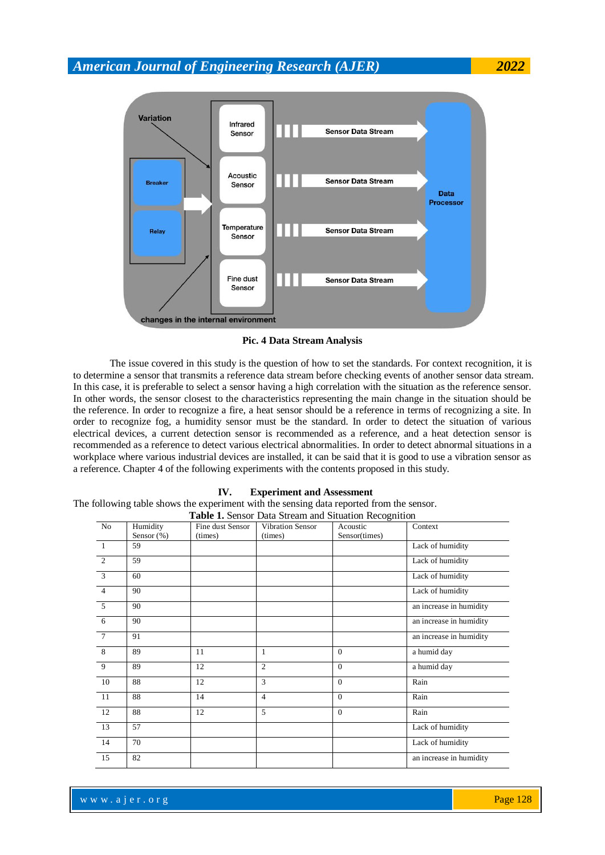

**Pic. 4 Data Stream Analysis**

The issue covered in this study is the question of how to set the standards. For context recognition, it is to determine a sensor that transmits a reference data stream before checking events of another sensor data stream. In this case, it is preferable to select a sensor having a high correlation with the situation as the reference sensor. In other words, the sensor closest to the characteristics representing the main change in the situation should be the reference. In order to recognize a fire, a heat sensor should be a reference in terms of recognizing a site. In order to recognize fog, a humidity sensor must be the standard. In order to detect the situation of various electrical devices, a current detection sensor is recommended as a reference, and a heat detection sensor is recommended as a reference to detect various electrical abnormalities. In order to detect abnormal situations in a workplace where various industrial devices are installed, it can be said that it is good to use a vibration sensor as a reference. Chapter 4 of the following experiments with the contents proposed in this study.

### **IV. Experiment and Assessment**

The following table shows the experiment with the sensing data reported from the sensor. **Table 1.** Sensor Data Stream and Situation Recognition

|                | <b>Table 1.</b> Sensor Data Stream and Sudation Recognition |                  |                         |               |                         |  |
|----------------|-------------------------------------------------------------|------------------|-------------------------|---------------|-------------------------|--|
| No             | Humidity                                                    | Fine dust Sensor | <b>Vibration Sensor</b> | Acoustic      | Context                 |  |
|                | Sensor $(\%)$                                               | (times)          | (times)                 | Sensor(times) |                         |  |
| $\overline{1}$ | 59                                                          |                  |                         |               | Lack of humidity        |  |
| $\overline{2}$ | 59                                                          |                  |                         |               | Lack of humidity        |  |
| $\overline{3}$ | 60                                                          |                  |                         |               | Lack of humidity        |  |
| $\overline{4}$ | 90                                                          |                  |                         |               | Lack of humidity        |  |
| 5              | 90                                                          |                  |                         |               | an increase in humidity |  |
| 6              | 90                                                          |                  |                         |               | an increase in humidity |  |
| $\tau$         | 91                                                          |                  |                         |               | an increase in humidity |  |
| 8              | 89                                                          | 11               | 1                       | $\Omega$      | a humid day             |  |
| 9              | 89                                                          | 12               | $\overline{c}$          | $\Omega$      | a humid day             |  |
| 10             | 88                                                          | 12               | 3                       | $\Omega$      | Rain                    |  |
| 11             | 88                                                          | 14               | 4                       | $\Omega$      | Rain                    |  |
| 12             | 88                                                          | 12               | 5                       | $\Omega$      | Rain                    |  |
| 13             | 57                                                          |                  |                         |               | Lack of humidity        |  |
| 14             | 70                                                          |                  |                         |               | Lack of humidity        |  |
| 15             | 82                                                          |                  |                         |               | an increase in humidity |  |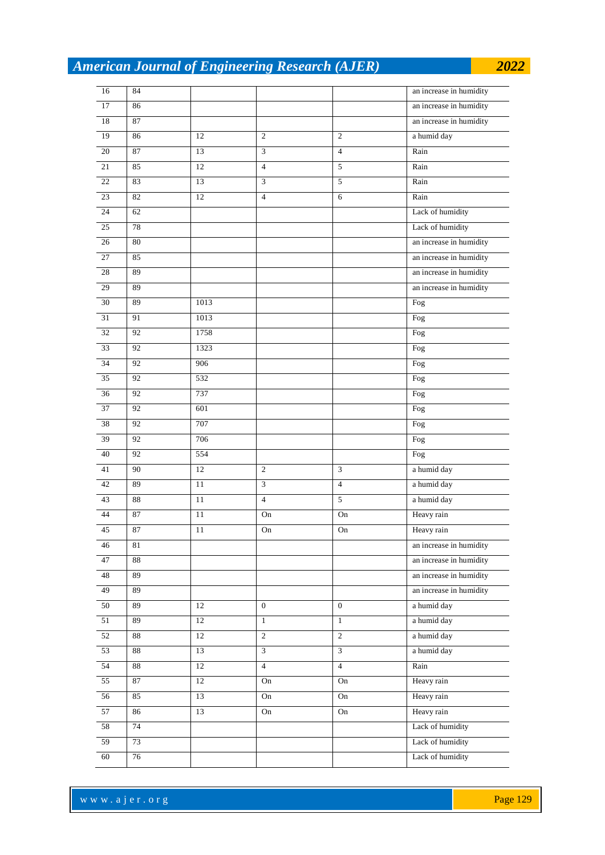| 16              | 84     |        |                |                | an increase in humidity |
|-----------------|--------|--------|----------------|----------------|-------------------------|
| 17              | 86     |        |                |                | an increase in humidity |
| $18\,$          | 87     |        |                |                | an increase in humidity |
| 19              | 86     | 12     | 2              | $\overline{c}$ | a humid day             |
| $20\,$          | 87     | 13     | 3              | $\overline{4}$ | Rain                    |
| 21              | 85     | 12     | $\overline{4}$ | 5              | Rain                    |
| $22\,$          | 83     | 13     | $\overline{3}$ | 5              | Rain                    |
| 23              | 82     | 12     | $\overline{4}$ | 6              | Rain                    |
| 24              | 62     |        |                |                | Lack of humidity        |
| 25              | 78     |        |                |                | Lack of humidity        |
| $26\,$          | 80     |        |                |                | an increase in humidity |
| $27\,$          | 85     |        |                |                | an increase in humidity |
| 28              | 89     |        |                |                | an increase in humidity |
| 29              | 89     |        |                |                | an increase in humidity |
| $30\,$          | 89     | 1013   |                |                | Fog                     |
| 31              | 91     | 1013   |                |                | Fog                     |
| 32              | 92     | 1758   |                |                | Fog                     |
| 33              | 92     | 1323   |                |                | Fog                     |
| 34              | 92     | 906    |                |                | Fog                     |
| 35              | 92     | 532    |                |                | Fog                     |
| 36              | 92     | 737    |                |                | Fog                     |
| 37              | 92     | 601    |                |                | Fog                     |
| 38              | 92     | 707    |                |                | Fog                     |
| 39              | 92     | 706    |                |                | Fog                     |
| 40              | 92     | 554    |                |                | Fog                     |
| 41              | 90     | 12     | 2              | $\overline{3}$ | a humid day             |
| 42              | 89     | 11     | $\overline{3}$ | $\overline{4}$ | a humid day             |
| 43              | 88     | 11     | $\overline{4}$ | 5              | a humid day             |
| 44              | 87     | 11     | On             | On             | Heavy rain              |
| 45              | 87     | 11     | On             | On             | Heavy rain              |
| 46              | 81     |        |                |                | an increase in humidity |
| 47              | 88     |        |                |                | an increase in humidity |
| 48              | 89     |        |                |                | an increase in humidity |
| 49              | 89     |        |                |                | an increase in humidity |
| 50              | 89     | 12     | $\overline{0}$ | $\overline{0}$ | a humid day             |
| $\overline{51}$ | 89     | $12\,$ | $\mathbf{1}$   | $\mathbf{1}$   | a humid day             |
| 52              | 88     | $12\,$ | $\overline{c}$ | $\overline{2}$ | a humid day             |
| $\overline{53}$ | 88     | 13     | $\mathfrak{Z}$ | $\overline{3}$ | a humid day             |
| 54              | $88\,$ | $12\,$ | $\overline{4}$ | $\overline{4}$ | Rain                    |
| 55              | 87     | 12     | On             | On             | Heavy rain              |
| $\overline{56}$ | 85     | 13     | On             | On             | Heavy rain              |
| $\overline{57}$ | 86     | 13     | On             | On             | Heavy rain              |
| 58              | 74     |        |                |                | Lack of humidity        |
| 59              | 73     |        |                |                | Lack of humidity        |
| 60              | 76     |        |                |                | Lack of humidity        |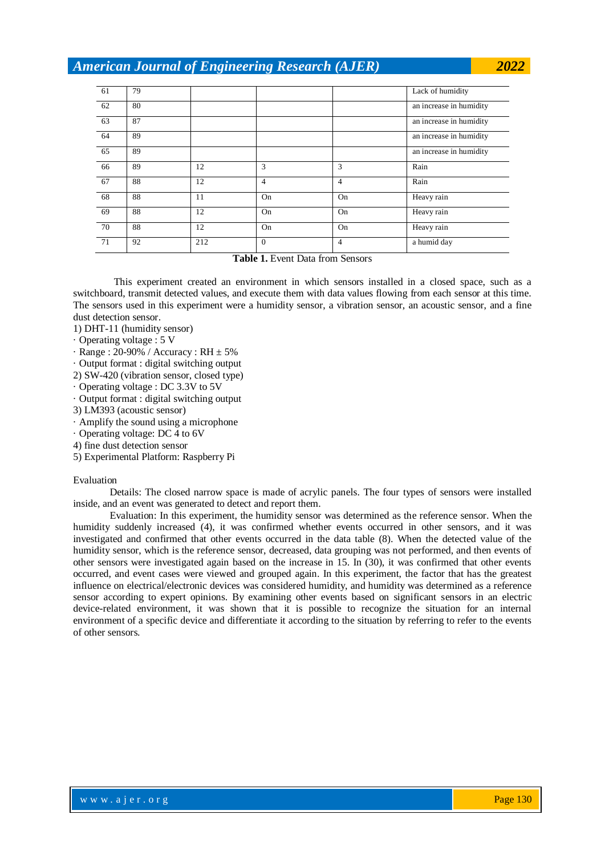| 61 | 79 |     |                |                | Lack of humidity        |
|----|----|-----|----------------|----------------|-------------------------|
| 62 | 80 |     |                |                | an increase in humidity |
| 63 | 87 |     |                |                | an increase in humidity |
| 64 | 89 |     |                |                | an increase in humidity |
| 65 | 89 |     |                |                | an increase in humidity |
| 66 | 89 | 12  | 3              | 3              | Rain                    |
| 67 | 88 | 12  | $\overline{4}$ | $\overline{4}$ | Rain                    |
| 68 | 88 | 11  | On             | On             | Heavy rain              |
| 69 | 88 | 12  | On             | On             | Heavy rain              |
| 70 | 88 | 12  | On             | On             | Heavy rain              |
| 71 | 92 | 212 | $\theta$       | $\overline{4}$ | a humid day             |

**Table 1.** Event Data from Sensors

This experiment created an environment in which sensors installed in a closed space, such as a switchboard, transmit detected values, and execute them with data values flowing from each sensor at this time. The sensors used in this experiment were a humidity sensor, a vibration sensor, an acoustic sensor, and a fine dust detection sensor.

1) DHT-11 (humidity sensor)

- · Operating voltage : 5 V
- $\cdot$  Range : 20-90% / Accuracy : RH  $\pm$  5%
- · Output format : digital switching output
- 2) SW-420 (vibration sensor, closed type)
- · Operating voltage : DC 3.3V to 5V
- · Output format : digital switching output
- 3) LM393 (acoustic sensor)
- · Amplify the sound using a microphone
- · Operating voltage: DC 4 to 6V
- 4) fine dust detection sensor
- 5) Experimental Platform: Raspberry Pi

#### Evaluation

Details: The closed narrow space is made of acrylic panels. The four types of sensors were installed inside, and an event was generated to detect and report them.

Evaluation: In this experiment, the humidity sensor was determined as the reference sensor. When the humidity suddenly increased (4), it was confirmed whether events occurred in other sensors, and it was investigated and confirmed that other events occurred in the data table (8). When the detected value of the humidity sensor, which is the reference sensor, decreased, data grouping was not performed, and then events of other sensors were investigated again based on the increase in 15. In (30), it was confirmed that other events occurred, and event cases were viewed and grouped again. In this experiment, the factor that has the greatest influence on electrical/electronic devices was considered humidity, and humidity was determined as a reference sensor according to expert opinions. By examining other events based on significant sensors in an electric device-related environment, it was shown that it is possible to recognize the situation for an internal environment of a specific device and differentiate it according to the situation by referring to refer to the events of other sensors.